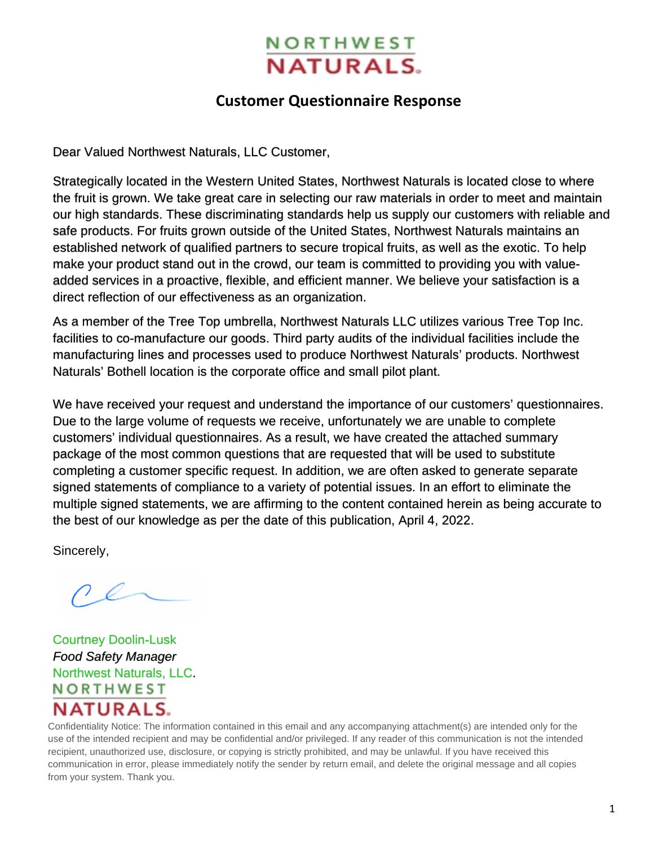# **NORTHWEST NATURALS.**

## **Customer Questionnaire Response**

<span id="page-0-0"></span>Dear Valued Northwest Naturals, LLC Customer,

Strategically located in the Western United States, Northwest Naturals is located close to where the fruit is grown. We take great care in selecting our raw materials in order to meet and maintain our high standards. These discriminating standards help us supply our customers with reliable and safe products. For fruits grown outside of the United States, Northwest Naturals maintains an established network of qualified partners to secure tropical fruits, as well as the exotic. To help make your product stand out in the crowd, our team is committed to providing you with valueadded services in a proactive, flexible, and efficient manner. We believe your satisfaction is a direct reflection of our effectiveness as an organization.

As a member of the Tree Top umbrella, Northwest Naturals LLC utilizes various Tree Top Inc. facilities to co-manufacture our goods. Third party audits of the individual facilities include the manufacturing lines and processes used to produce Northwest Naturals' products. Northwest Naturals' Bothell location is the corporate office and small pilot plant.

We have received your request and understand the importance of our customers' questionnaires. Due to the large volume of requests we receive, unfortunately we are unable to complete customers' individual questionnaires. As a result, we have created the attached summary package of the most common questions that are requested that will be used to substitute completing a customer specific request. In addition, we are often asked to generate separate signed statements of compliance to a variety of potential issues. In an effort to eliminate the multiple signed statements, we are affirming to the content contained herein as being accurate to the best of our knowledge as per the date of this publication, April 4, 2022.

Sincerely,

Courtney Doolin-Lusk *Food Safety Manager*  Northwest Naturals, LLC. **NORTHWEST NATURALS.** 

Confidentiality Notice: The information contained in this email and any accompanying attachment(s) are intended only for the use of the intended recipient and may be confidential and/or privileged. If any reader of this communication is not the intended recipient, unauthorized use, disclosure, or copying is strictly prohibited, and may be unlawful. If you have received this communication in error, please immediately notify the sender by return email, and delete the original message and all copies from your system. Thank you.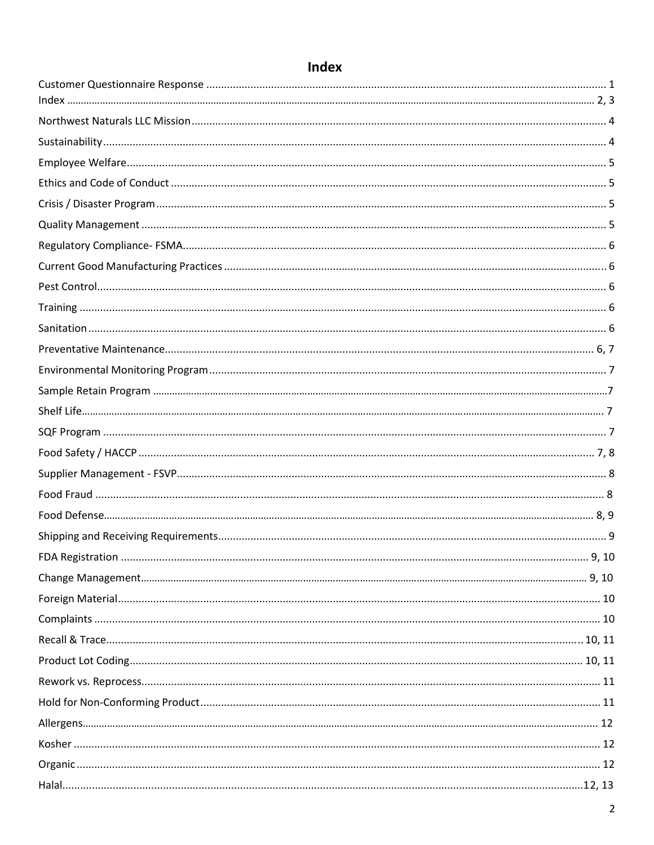# Index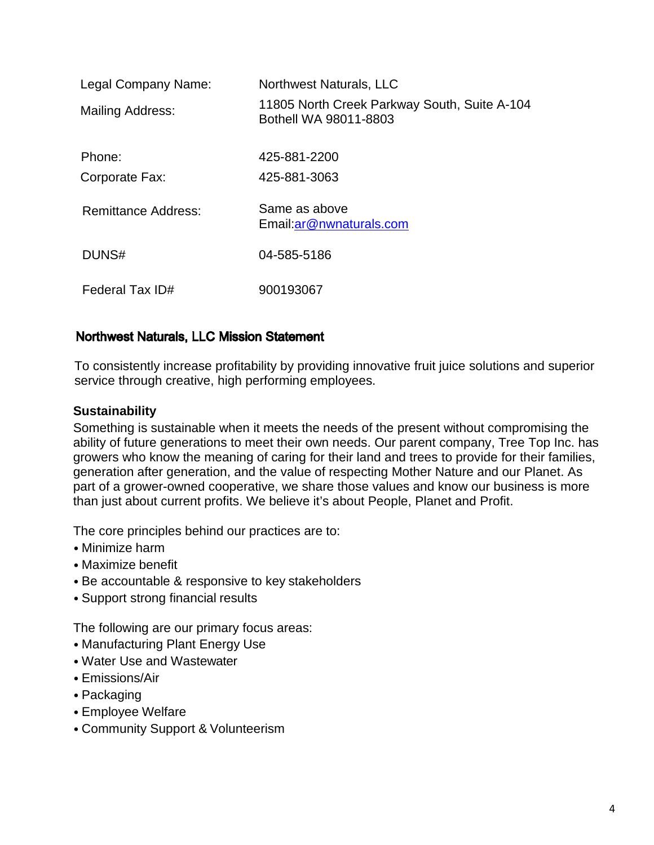| Legal Company Name:        | Northwest Naturals, LLC                                               |
|----------------------------|-----------------------------------------------------------------------|
| <b>Mailing Address:</b>    | 11805 North Creek Parkway South, Suite A-104<br>Bothell WA 98011-8803 |
| Phone:                     | 425-881-2200                                                          |
| Corporate Fax:             | 425-881-3063                                                          |
| <b>Remittance Address:</b> | Same as above<br>Email: ar@nwnaturals.com                             |
| DUNS#                      | 04-585-5186                                                           |
| Federal Tax ID#            | 900193067                                                             |

### <span id="page-3-0"></span>Northwest Naturals, LLC Mission Statement

 To consistently increase profitability by providing innovative fruit juice solutions and superior service through creative, high performing employees.

#### <span id="page-3-1"></span>**Sustainability**

Something is sustainable when it meets the needs of the present without compromising the ability of future generations to meet their own needs. Our parent company, Tree Top Inc. has growers who know the meaning of caring for their land and trees to provide for their families, generation after generation, and the value of respecting Mother Nature and our Planet. As part of a grower-owned cooperative, we share those values and know our business is more than just about current profits. We believe it's about People, Planet and Profit.

The core principles behind our practices are to:

- Minimize harm
- Maximize benefit
- Be accountable & responsive to key stakeholders
- Support strong financial results

The following are our primary focus areas:

- Manufacturing Plant Energy Use
- Water Use and Wastewater
- Emissions/Air
- Packaging
- Employee Welfare
- Community Support & Volunteerism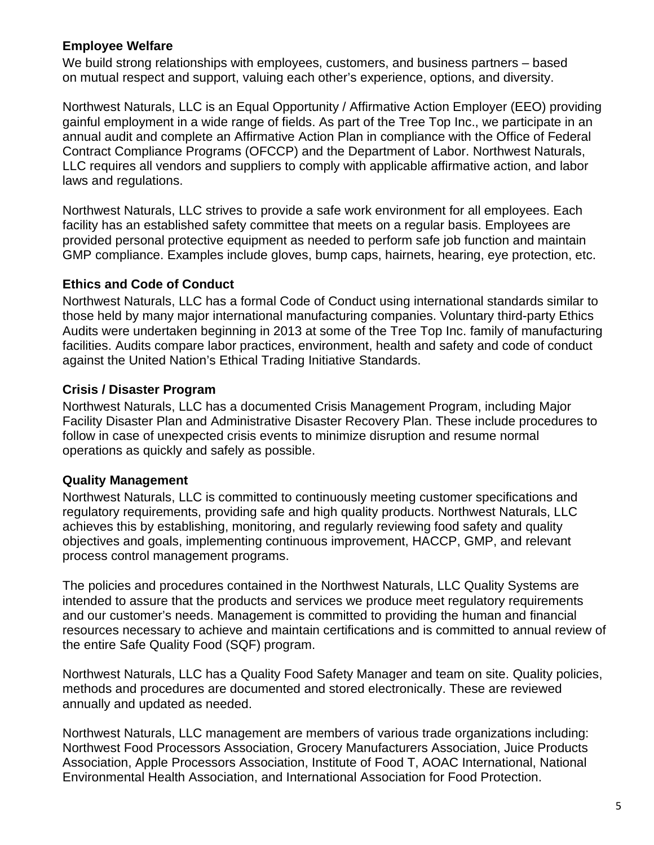### <span id="page-4-0"></span>**Employee Welfare**

We build strong relationships with employees, customers, and business partners – based on mutual respect and support, valuing each other's experience, options, and diversity.

Northwest Naturals, LLC is an Equal Opportunity / Affirmative Action Employer (EEO) providing gainful employment in a wide range of fields. As part of the Tree Top Inc., we participate in an annual audit and complete an Affirmative Action Plan in compliance with the Office of Federal Contract Compliance Programs (OFCCP) and the Department of Labor. Northwest Naturals, LLC requires all vendors and suppliers to comply with applicable affirmative action, and labor laws and regulations.

Northwest Naturals, LLC strives to provide a safe work environment for all employees. Each facility has an established safety committee that meets on a regular basis. Employees are provided personal protective equipment as needed to perform safe job function and maintain GMP compliance. Examples include gloves, bump caps, hairnets, hearing, eye protection, etc.

### <span id="page-4-1"></span>**Ethics and Code of Conduct**

Northwest Naturals, LLC has a formal Code of Conduct using international standards similar to those held by many major international manufacturing companies. Voluntary third-party Ethics Audits were undertaken beginning in 2013 at some of the Tree Top Inc. family of manufacturing facilities. Audits compare labor practices, environment, health and safety and code of conduct against the United Nation's Ethical Trading Initiative Standards.

### <span id="page-4-2"></span>**Crisis / Disaster Program**

Northwest Naturals, LLC has a documented Crisis Management Program, including Major Facility Disaster Plan and Administrative Disaster Recovery Plan. These include procedures to follow in case of unexpected crisis events to minimize disruption and resume normal operations as quickly and safely as possible.

### <span id="page-4-3"></span>**Quality Management**

Northwest Naturals, LLC is committed to continuously meeting customer specifications and regulatory requirements, providing safe and high quality products. Northwest Naturals, LLC achieves this by establishing, monitoring, and regularly reviewing food safety and quality objectives and goals, implementing continuous improvement, HACCP, GMP, and relevant process control management programs.

The policies and procedures contained in the Northwest Naturals, LLC Quality Systems are intended to assure that the products and services we produce meet regulatory requirements and our customer's needs. Management is committed to providing the human and financial resources necessary to achieve and maintain certifications and is committed to annual review of the entire Safe Quality Food (SQF) program.

Northwest Naturals, LLC has a Quality Food Safety Manager and team on site. Quality policies, methods and procedures are documented and stored electronically. These are reviewed annually and updated as needed.

Northwest Naturals, LLC management are members of various trade organizations including: Northwest Food Processors Association, Grocery Manufacturers Association, Juice Products Association, Apple Processors Association, Institute of Food T, AOAC International, National Environmental Health Association, and International Association for Food Protection.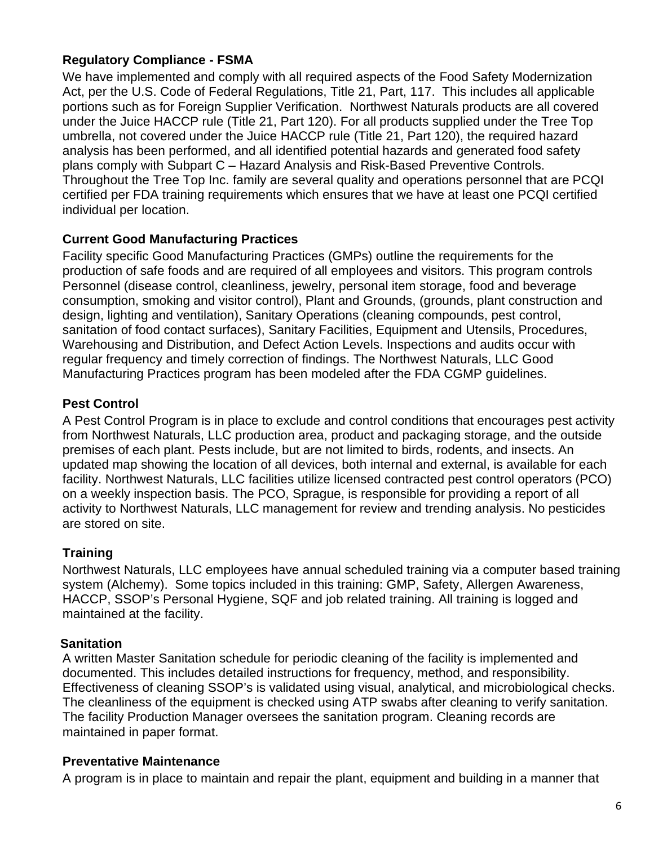### <span id="page-5-0"></span>**Regulatory Compliance - FSMA**

We have implemented and comply with all required aspects of the Food Safety Modernization Act, per the U.S. Code of Federal Regulations, Title 21, Part, 117. This includes all applicable portions such as for Foreign Supplier Verification. Northwest Naturals products are all covered under the Juice HACCP rule (Title 21, Part 120). For all products supplied under the Tree Top umbrella, not covered under the Juice HACCP rule (Title 21, Part 120), the required hazard analysis has been performed, and all identified potential hazards and generated food safety plans comply with Subpart C – Hazard Analysis and Risk-Based Preventive Controls. Throughout the Tree Top Inc. family are several quality and operations personnel that are PCQI certified per FDA training requirements which ensures that we have at least one PCQI certified individual per location.

### <span id="page-5-1"></span>**Current Good Manufacturing Practices**

Facility specific Good Manufacturing Practices (GMPs) outline the requirements for the production of safe foods and are required of all employees and visitors. This program controls Personnel (disease control, cleanliness, jewelry, personal item storage, food and beverage consumption, smoking and visitor control), Plant and Grounds, (grounds, plant construction and design, lighting and ventilation), Sanitary Operations (cleaning compounds, pest control, sanitation of food contact surfaces), Sanitary Facilities, Equipment and Utensils, Procedures, Warehousing and Distribution, and Defect Action Levels. Inspections and audits occur with regular frequency and timely correction of findings. The Northwest Naturals, LLC Good Manufacturing Practices program has been modeled after the FDA CGMP guidelines.

### <span id="page-5-2"></span>**Pest Control**

A Pest Control Program is in place to exclude and control conditions that encourages pest activity from Northwest Naturals, LLC production area, product and packaging storage, and the outside premises of each plant. Pests include, but are not limited to birds, rodents, and insects. An updated map showing the location of all devices, both internal and external, is available for each facility. Northwest Naturals, LLC facilities utilize licensed contracted pest control operators (PCO) on a weekly inspection basis. The PCO, Sprague, is responsible for providing a report of all activity to Northwest Naturals, LLC management for review and trending analysis. No pesticides are stored on site.

### <span id="page-5-3"></span>**Training**

Northwest Naturals, LLC employees have annual scheduled training via a computer based training system (Alchemy). Some topics included in this training: GMP, Safety, Allergen Awareness, HACCP, SSOP's Personal Hygiene, SQF and job related training. All training is logged and maintained at the facility.

### <span id="page-5-4"></span> **Sanitation**

A written Master Sanitation schedule for periodic cleaning of the facility is implemented and documented. This includes detailed instructions for frequency, method, and responsibility. Effectiveness of cleaning SSOP's is validated using visual, analytical, and microbiological checks. The cleanliness of the equipment is checked using ATP swabs after cleaning to verify sanitation. The facility Production Manager oversees the sanitation program. Cleaning records are maintained in paper format.

### <span id="page-5-5"></span>**Preventative Maintenance**

A program is in place to maintain and repair the plant, equipment and building in a manner that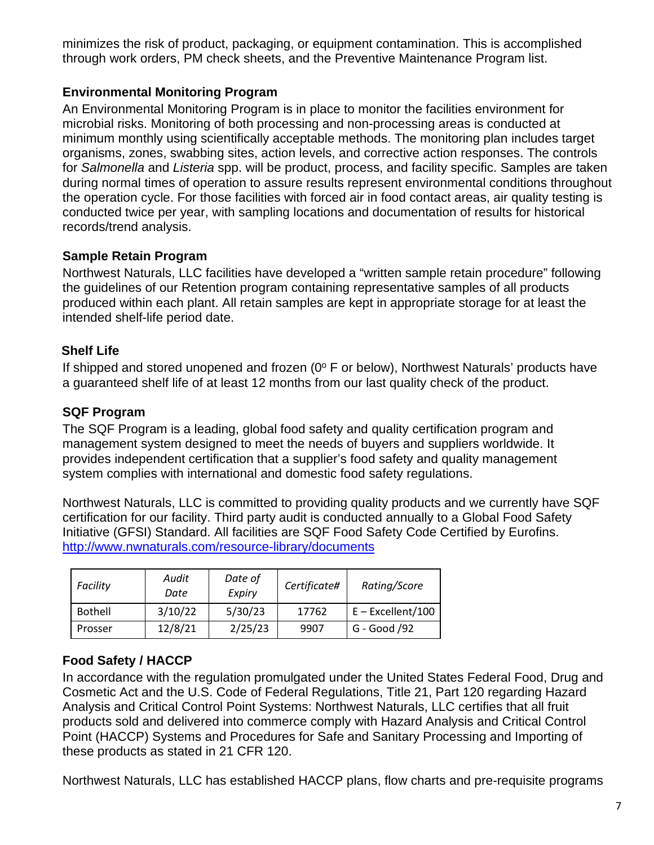minimizes the risk of product, packaging, or equipment contamination. This is accomplished through work orders, PM check sheets, and the Preventive Maintenance Program list.

### <span id="page-6-0"></span>**Environmental Monitoring Program**

An Environmental Monitoring Program is in place to monitor the facilities environment for microbial risks. Monitoring of both processing and non-processing areas is conducted at minimum monthly using scientifically acceptable methods. The monitoring plan includes target organisms, zones, swabbing sites, action levels, and corrective action responses. The controls for *Salmonella* and *Listeria* spp. will be product, process, and facility specific. Samples are taken during normal times of operation to assure results represent environmental conditions throughout the operation cycle. For those facilities with forced air in food contact areas, air quality testing is conducted twice per year, with sampling locations and documentation of results for historical records/trend analysis.

### <span id="page-6-1"></span>**Sample Retain Program**

Northwest Naturals, LLC facilities have developed a "written sample retain procedure" following the guidelines of our Retention program containing representative samples of all products produced within each plant. All retain samples are kept in appropriate storage for at least the intended shelf-life period date.

### <span id="page-6-2"></span>**Shelf Life**

If shipped and stored unopened and frozen ( $0^{\circ}$  F or below), Northwest Naturals' products have a guaranteed shelf life of at least 12 months from our last quality check of the product.

### <span id="page-6-3"></span>**[SQF Program](#page-6-3)**

The SQF Program is a leading, global food safety and quality certification program and management system designed to meet the needs of buyers and suppliers worldwide. It provides independent certification that a supplier's food safety and quality management system complies with international and domestic food safety regulations.

Northwest Naturals, LLC is committed to providing quality products and we currently have SQF certification for our facility. Third party audit is conducted annually to a Global Food Safety Initiative (GFSI) Standard. All facilities are SQF Food Safety Code Certified by Eurofins. <http://www.nwnaturals.com/resource-library/documents>

| Facility       | Audit<br>Date | Date of<br>Expiry | Certificate# | Rating/Score        |
|----------------|---------------|-------------------|--------------|---------------------|
| <b>Bothell</b> | 3/10/22       | 5/30/23           | 17762        | $E - Excellent/100$ |
| Prosser        | 12/8/21       | 2/25/23           | 9907         | G - Good /92        |

### <span id="page-6-4"></span>**Food Safety / HACCP**

In accordance with the regulation promulgated under the United States Federal Food, Drug and Cosmetic Act and the U.S. Code of Federal Regulations, Title 21, Part 120 regarding Hazard Analysis and Critical Control Point Systems: Northwest Naturals, LLC certifies that all fruit products sold and delivered into commerce comply with Hazard Analysis and Critical Control Point (HACCP) Systems and Procedures for Safe and Sanitary Processing and Importing of these products as stated in 21 CFR 120.

Northwest Naturals, LLC has established HACCP plans, flow charts and pre-requisite programs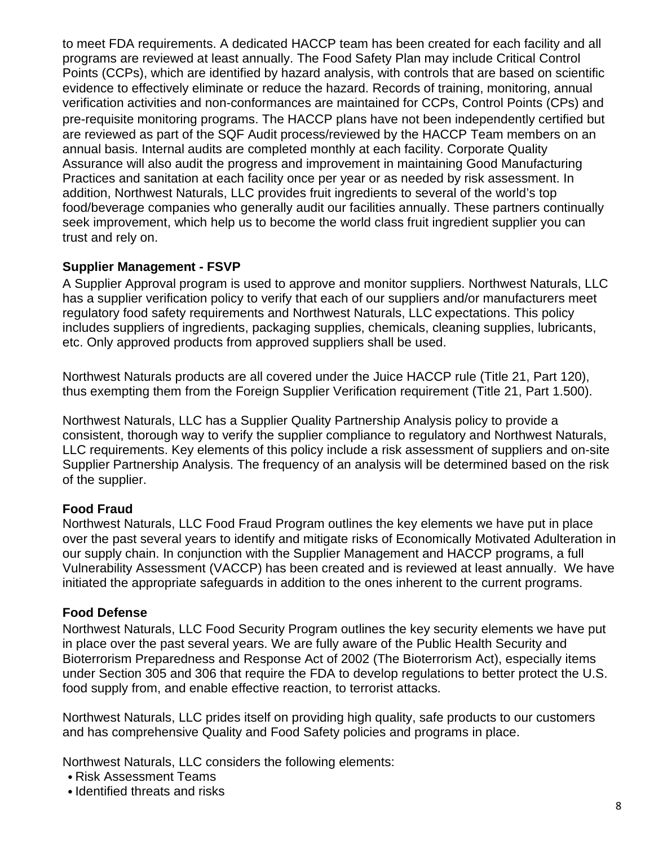to meet FDA requirements. A dedicated HACCP team has been created for each facility and all programs are reviewed at least annually. The Food Safety Plan may include Critical Control Points (CCPs), which are identified by hazard analysis, with controls that are based on scientific evidence to effectively eliminate or reduce the hazard. Records of training, monitoring, annual verification activities and non-conformances are maintained for CCPs, Control Points (CPs) and pre-requisite monitoring programs. The HACCP plans have not been independently certified but are reviewed as part of the SQF Audit process/reviewed by the HACCP Team members on an annual basis. Internal audits are completed monthly at each facility. Corporate Quality Assurance will also audit the progress and improvement in maintaining Good Manufacturing Practices and sanitation at each facility once per year or as needed by risk assessment. In addition, Northwest Naturals, LLC provides fruit ingredients to several of the world's top food/beverage companies who generally audit our facilities annually. These partners continually seek improvement, which help us to become the world class fruit ingredient supplier you can trust and rely on.

### <span id="page-7-0"></span>**Supplier Management - FSVP**

A Supplier Approval program is used to approve and monitor suppliers. Northwest Naturals, LLC has a supplier verification policy to verify that each of our suppliers and/or manufacturers meet regulatory food safety requirements and Northwest Naturals, LLC expectations. This policy includes suppliers of ingredients, packaging supplies, chemicals, cleaning supplies, lubricants, etc. Only approved products from approved suppliers shall be used.

Northwest Naturals products are all covered under the Juice HACCP rule (Title 21, Part 120), thus exempting them from the Foreign Supplier Verification requirement (Title 21, Part 1.500).

Northwest Naturals, LLC has a Supplier Quality Partnership Analysis policy to provide a consistent, thorough way to verify the supplier compliance to regulatory and Northwest Naturals, LLC requirements. Key elements of this policy include a risk assessment of suppliers and on-site Supplier Partnership Analysis. The frequency of an analysis will be determined based on the risk of the supplier.

### **Food Fraud**

Northwest Naturals, LLC Food Fraud Program outlines the key elements we have put in place over the past several years to identify and mitigate risks of Economically Motivated Adulteration in our supply chain. In conjunction with the Supplier Management and HACCP programs, a full Vulnerability Assessment (VACCP) has been created and is reviewed at least annually. We have initiated the appropriate safeguards in addition to the ones inherent to the current programs.

### <span id="page-7-1"></span>**Food Defense**

Northwest Naturals, LLC Food Security Program outlines the key security elements we have put in place over the past several years. We are fully aware of the Public Health Security and Bioterrorism Preparedness and Response Act of 2002 (The Bioterrorism Act), especially items under Section 305 and 306 that require the FDA to develop regulations to better protect the U.S. food supply from, and enable effective reaction, to terrorist attacks.

Northwest Naturals, LLC prides itself on providing high quality, safe products to our customers and has comprehensive Quality and Food Safety policies and programs in place.

Northwest Naturals, LLC considers the following elements:

- Risk Assessment Teams
- Identified threats and risks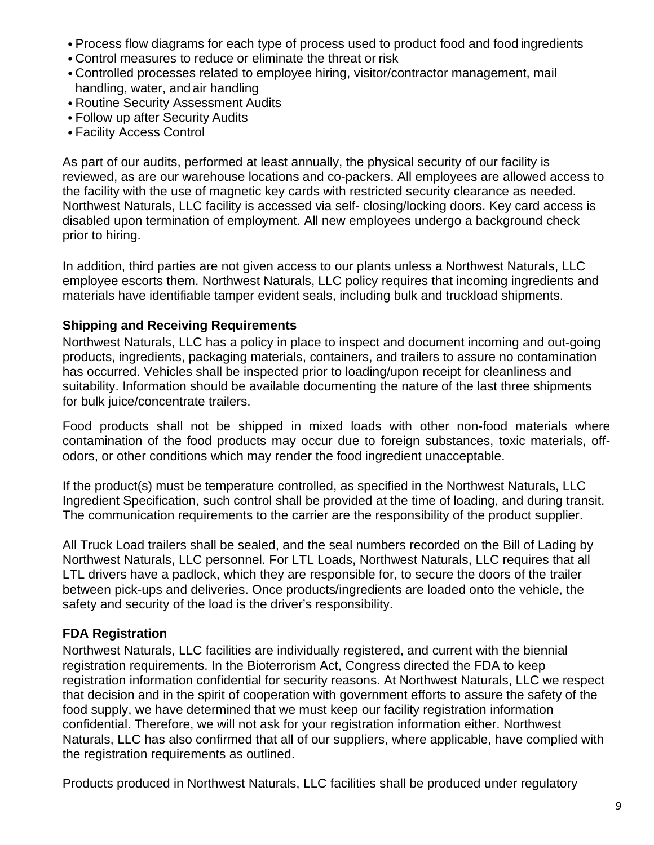- Process flow diagrams for each type of process used to product food and food ingredients
- Control measures to reduce or eliminate the threat or risk
- Controlled processes related to employee hiring, visitor/contractor management, mail handling, water, and air handling
- Routine Security Assessment Audits
- Follow up after Security Audits
- Facility Access Control

As part of our audits, performed at least annually, the physical security of our facility is reviewed, as are our warehouse locations and co-packers. All employees are allowed access to the facility with the use of magnetic key cards with restricted security clearance as needed. Northwest Naturals, LLC facility is accessed via self- closing/locking doors. Key card access is disabled upon termination of employment. All new employees undergo a background check prior to hiring.

In addition, third parties are not given access to our plants unless a Northwest Naturals, LLC employee escorts them. Northwest Naturals, LLC policy requires that incoming ingredients and materials have identifiable tamper evident seals, including bulk and truckload shipments.

### <span id="page-8-0"></span>**Shipping and Receiving Requirements**

Northwest Naturals, LLC has a policy in place to inspect and document incoming and out-going products, ingredients, packaging materials, containers, and trailers to assure no contamination has occurred. Vehicles shall be inspected prior to loading/upon receipt for cleanliness and suitability. Information should be available documenting the nature of the last three shipments for bulk juice/concentrate trailers.

Food products shall not be shipped in mixed loads with other non-food materials where contamination of the food products may occur due to foreign substances, toxic materials, offodors, or other conditions which may render the food ingredient unacceptable.

If the product(s) must be temperature controlled, as specified in the Northwest Naturals, LLC Ingredient Specification, such control shall be provided at the time of loading, and during transit. The communication requirements to the carrier are the responsibility of the product supplier.

All Truck Load trailers shall be sealed, and the seal numbers recorded on the Bill of Lading by Northwest Naturals, LLC personnel. For LTL Loads, Northwest Naturals, LLC requires that all LTL drivers have a padlock, which they are responsible for, to secure the doors of the trailer between pick-ups and deliveries. Once products/ingredients are loaded onto the vehicle, the safety and security of the load is the driver's responsibility.

### <span id="page-8-1"></span>**FDA Registration**

Northwest Naturals, LLC facilities are individually registered, and current with the biennial registration requirements. In the Bioterrorism Act, Congress directed the FDA to keep registration information confidential for security reasons. At Northwest Naturals, LLC we respect that decision and in the spirit of cooperation with government efforts to assure the safety of the food supply, we have determined that we must keep our facility registration information confidential. Therefore, we will not ask for your registration information either. Northwest Naturals, LLC has also confirmed that all of our suppliers, where applicable, have complied with the registration requirements as outlined.

Products produced in Northwest Naturals, LLC facilities shall be produced under regulatory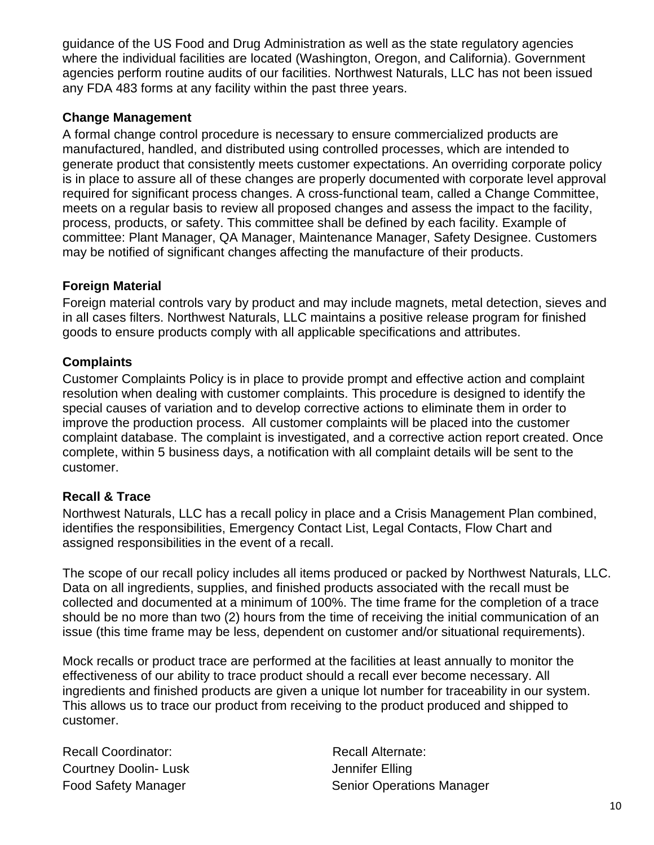guidance of the US Food and Drug Administration as well as the state regulatory agencies where the individual facilities are located (Washington, Oregon, and California). Government agencies perform routine audits of our facilities. Northwest Naturals, LLC has not been issued any FDA 483 forms at any facility within the past three years.

### <span id="page-9-0"></span>**Change Management**

A formal change control procedure is necessary to ensure commercialized products are manufactured, handled, and distributed using controlled processes, which are intended to generate product that consistently meets customer expectations. An overriding corporate policy is in place to assure all of these changes are properly documented with corporate level approval required for significant process changes. A cross-functional team, called a Change Committee, meets on a regular basis to review all proposed changes and assess the impact to the facility, process, products, or safety. This committee shall be defined by each facility. Example of committee: Plant Manager, QA Manager, Maintenance Manager, Safety Designee. Customers may be notified of significant changes affecting the manufacture of their products.

### <span id="page-9-1"></span>**Foreign Material**

Foreign material controls vary by product and may include magnets, metal detection, sieves and in all cases filters. Northwest Naturals, LLC maintains a positive release program for finished goods to ensure products comply with all applicable specifications and attributes.

### <span id="page-9-2"></span>**Complaints**

Customer Complaints Policy is in place to provide prompt and effective action and complaint resolution when dealing with customer complaints. This procedure is designed to identify the special causes of variation and to develop corrective actions to eliminate them in order to improve the production process. All customer complaints will be placed into the customer complaint database. The complaint is investigated, and a corrective action report created. Once complete, within 5 business days, a notification with all complaint details will be sent to the customer.

### <span id="page-9-3"></span>**Recall & Trace**

Northwest Naturals, LLC has a recall policy in place and a Crisis Management Plan combined, identifies the responsibilities, Emergency Contact List, Legal Contacts, Flow Chart and assigned responsibilities in the event of a recall.

The scope of our recall policy includes all items produced or packed by Northwest Naturals, LLC. Data on all ingredients, supplies, and finished products associated with the recall must be collected and documented at a minimum of 100%. The time frame for the completion of a trace should be no more than two (2) hours from the time of receiving the initial communication of an issue (this time frame may be less, dependent on customer and/or situational requirements).

Mock recalls or product trace are performed at the facilities at least annually to monitor the effectiveness of our ability to trace product should a recall ever become necessary. All ingredients and finished products are given a unique lot number for traceability in our system. This allows us to trace our product from receiving to the product produced and shipped to customer.

| <b>Recall Coordinator:</b>  | <b>Recall Alternate:</b>         |
|-----------------------------|----------------------------------|
| <b>Courtney Doolin-Lusk</b> | Jennifer Elling                  |
| <b>Food Safety Manager</b>  | <b>Senior Operations Manager</b> |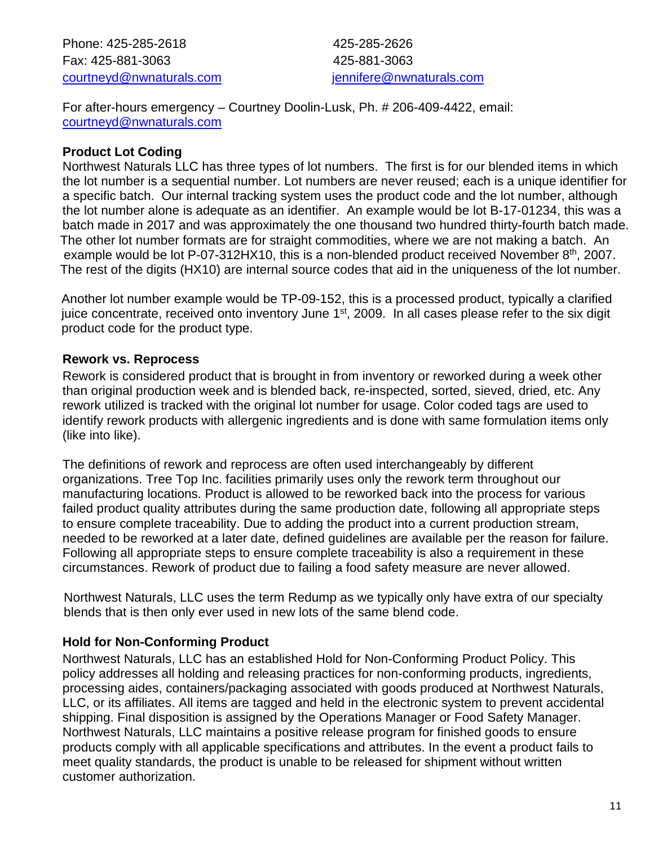Phone: 425-285-2618 425-285-2626 Fax: 425-881-3063 425-881-3063 [courtneyd@nwnaturals.com](mailto:courtneyd@nwnaturals.com) [jennifere@nwnaturals.com](mailto:ennifere@nwnaturals.com)

For after-hours emergency – Courtney Doolin-Lusk, Ph. # 206-409-4422, email: [courtneyd@nwnaturals.com](mailto:courtneyd@nwnaturals.com) 

### <span id="page-10-0"></span>**Product Lot Coding**

Northwest Naturals LLC has three types of lot numbers. The first is for our blended items in which the lot number is a sequential number. Lot numbers are never reused; each is a unique identifier for a specific batch. Our internal tracking system uses the product code and the lot number, although the lot number alone is adequate as an identifier. An example would be lot B-17-01234, this was a batch made in 2017 and was approximately the one thousand two hundred thirty-fourth batch made. The other lot number formats are for straight commodities, where we are not making a batch. An example would be lot P-07-312HX10, this is a non-blended product received November  $8<sup>th</sup>$ , 2007. The rest of the digits (HX10) are internal source codes that aid in the uniqueness of the lot number.

Another lot number example would be TP-09-152, this is a processed product, typically a clarified juice concentrate, received onto inventory June 1<sup>st</sup>, 2009. In all cases please refer to the six digit product code for the product type.

#### <span id="page-10-1"></span>**Rework vs. Reprocess**

Rework is considered product that is brought in from inventory or reworked during a week other than original production week and is blended back, re-inspected, sorted, sieved, dried, etc. Any rework utilized is tracked with the original lot number for usage. Color coded tags are used to identify rework products with allergenic ingredients and is done with same formulation items only (like into like).

The definitions of rework and reprocess are often used interchangeably by different organizations. Tree Top Inc. facilities primarily uses only the rework term throughout our manufacturing locations. Product is allowed to be reworked back into the process for various failed product quality attributes during the same production date, following all appropriate steps to ensure complete traceability. Due to adding the product into a current production stream, needed to be reworked at a later date, defined guidelines are available per the reason for failure. Following all appropriate steps to ensure complete traceability is also a requirement in these circumstances. Rework of product due to failing a food safety measure are never allowed.

 Northwest Naturals, LLC uses the term Redump as we typically only have extra of our specialty blends that is then only ever used in new lots of the same blend code.

### <span id="page-10-2"></span>**Hold for Non-Conforming Product**

Northwest Naturals, LLC has an established Hold for Non-Conforming Product Policy. This policy addresses all holding and releasing practices for non-conforming products, ingredients, processing aides, containers/packaging associated with goods produced at Northwest Naturals, LLC, or its affiliates. All items are tagged and held in the electronic system to prevent accidental shipping. Final disposition is assigned by the Operations Manager or Food Safety Manager. Northwest Naturals, LLC maintains a positive release program for finished goods to ensure products comply with all applicable specifications and attributes. In the event a product fails to meet quality standards, the product is unable to be released for shipment without written customer authorization.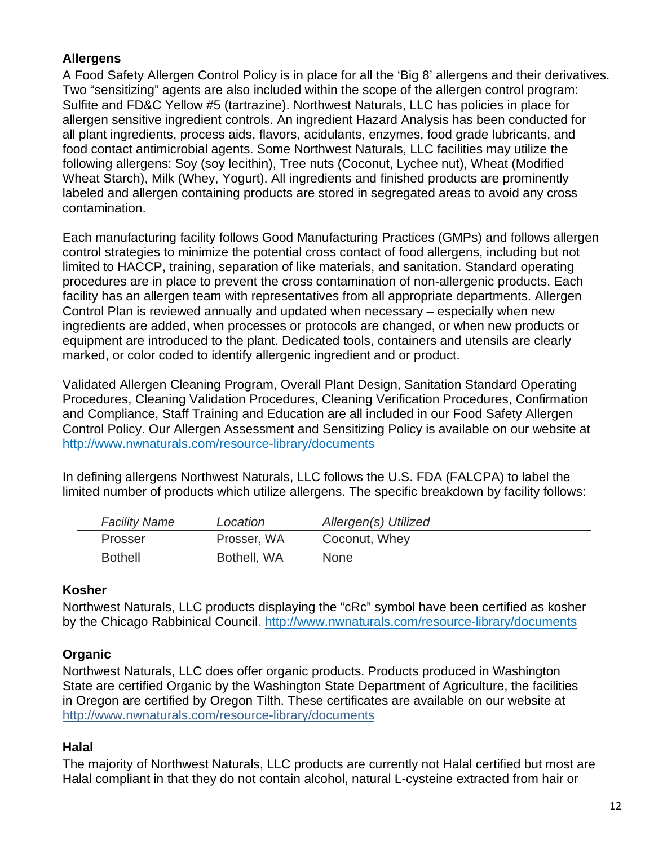### <span id="page-11-0"></span>**Allergens**

A Food Safety Allergen Control Policy is in place for all the 'Big 8' allergens and their derivatives. Two "sensitizing" agents are also included within the scope of the allergen control program: Sulfite and FD&C Yellow #5 (tartrazine). Northwest Naturals, LLC has policies in place for allergen sensitive ingredient controls. An ingredient Hazard Analysis has been conducted for all plant ingredients, process aids, flavors, acidulants, enzymes, food grade lubricants, and food contact antimicrobial agents. Some Northwest Naturals, LLC facilities may utilize the following allergens: Soy (soy lecithin), Tree nuts (Coconut, Lychee nut), Wheat (Modified Wheat Starch), Milk (Whey, Yogurt). All ingredients and finished products are prominently labeled and allergen containing products are stored in segregated areas to avoid any cross contamination.

Each manufacturing facility follows Good Manufacturing Practices (GMPs) and follows allergen control strategies to minimize the potential cross contact of food allergens, including but not limited to HACCP, training, separation of like materials, and sanitation. Standard operating procedures are in place to prevent the cross contamination of non-allergenic products. Each facility has an allergen team with representatives from all appropriate departments. Allergen Control Plan is reviewed annually and updated when necessary – especially when new ingredients are added, when processes or protocols are changed, or when new products or equipment are introduced to the plant. Dedicated tools, containers and utensils are clearly marked, or color coded to identify allergenic ingredient and or product.

Validated Allergen Cleaning Program, Overall Plant Design, Sanitation Standard Operating Procedures, Cleaning Validation Procedures, Cleaning Verification Procedures, Confirmation and Compliance, Staff Training and Education are all included in our Food Safety Allergen Control Policy. Our Allergen Assessment and Sensitizing Policy is available on our website at <http://www.nwnaturals.com/resource-library/documents>

In defining allergens Northwest Naturals, LLC follows the U.S. FDA (FALCPA) to label the limited number of products which utilize allergens. The specific breakdown by facility follows:

| <b>Facility Name</b> | Location    | Allergen(s) Utilized |
|----------------------|-------------|----------------------|
| Prosser              | Prosser, WA | Coconut, Whey        |
| <b>Bothell</b>       | Bothell, WA | <b>None</b>          |

### <span id="page-11-1"></span>**Kosher**

Northwest Naturals, LLC products displaying the "cRc" symbol have been certified as kosher by the Chicago Rabbinical Council.<http://www.nwnaturals.com/resource-library/documents>

### <span id="page-11-2"></span>**Organic**

Northwest Naturals, LLC does offer organic products. Products produced in Washington State are certified Organic by the Washington State Department of Agriculture, the facilities in Oregon are certified by Oregon Tilth. These certificates are available on our website at <http://www.nwnaturals.com/resource-library/documents>

### <span id="page-11-3"></span>**Halal**

The majority of Northwest Naturals, LLC products are currently not Halal certified but most are Halal compliant in that they do not contain alcohol, natural L-cysteine extracted from hair or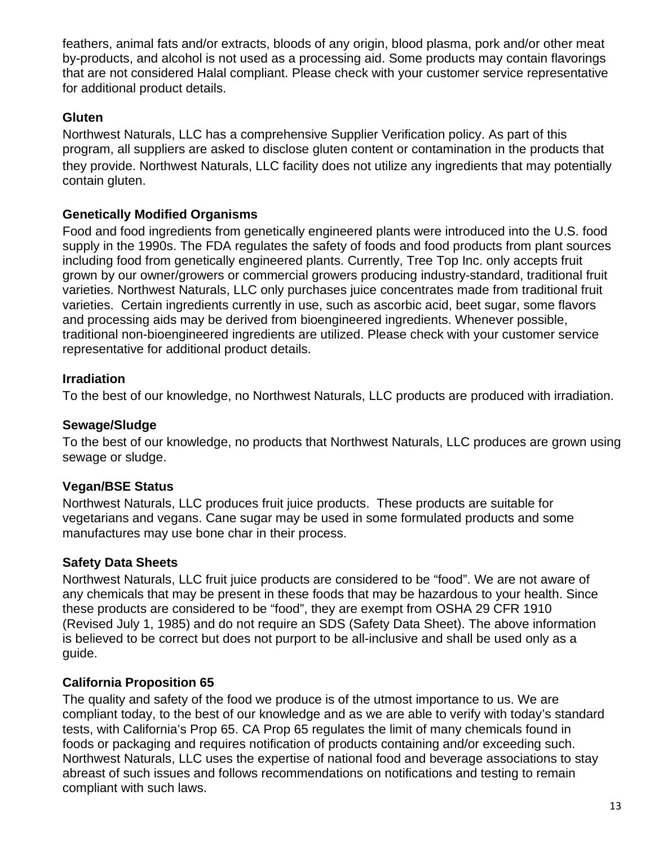feathers, animal fats and/or extracts, bloods of any origin, blood plasma, pork and/or other meat by-products, and alcohol is not used as a processing aid. Some products may contain flavorings that are not considered Halal compliant. Please check with your customer service representative for additional product details.

### <span id="page-12-0"></span>**Gluten**

Northwest Naturals, LLC has a comprehensive Supplier Verification policy. As part of this program, all suppliers are asked to disclose gluten content or contamination in the products that they provide. Northwest Naturals, LLC facility does not utilize any ingredients that may potentially contain gluten.

### <span id="page-12-1"></span>**Genetically Modified Organisms**

Food and food ingredients from genetically engineered plants were introduced into the U.S. food supply in the 1990s. The FDA regulates the safety of foods and food products from plant sources including food from genetically engineered plants. Currently, Tree Top Inc. only accepts fruit grown by our owner/growers or commercial growers producing industry-standard, traditional fruit varieties. Northwest Naturals, LLC only purchases juice concentrates made from traditional fruit varieties. Certain ingredients currently in use, such as ascorbic acid, beet sugar, some flavors and processing aids may be derived from bioengineered ingredients. Whenever possible, traditional non-bioengineered ingredients are utilized. Please check with your customer service representative for additional product details.

### <span id="page-12-2"></span>**Irradiation**

To the best of our knowledge, no Northwest Naturals, LLC products are produced with irradiation.

### <span id="page-12-3"></span>**Sewage/Sludge**

To the best of our knowledge, no products that Northwest Naturals, LLC produces are grown using sewage or sludge.

### <span id="page-12-4"></span>**Vegan/BSE Status**

Northwest Naturals, LLC produces fruit juice products. These products are suitable for vegetarians and vegans. Cane sugar may be used in some formulated products and some manufactures may use bone char in their process.

### <span id="page-12-5"></span>**Safety Data Sheets**

Northwest Naturals, LLC fruit juice products are considered to be "food". We are not aware of any chemicals that may be present in these foods that may be hazardous to your health. Since these products are considered to be "food", they are exempt from OSHA 29 CFR 1910 (Revised July 1, 1985) and do not require an SDS (Safety Data Sheet). The above information is believed to be correct but does not purport to be all-inclusive and shall be used only as a guide.

### <span id="page-12-6"></span>**California Proposition 65**

The quality and safety of the food we produce is of the utmost importance to us. We are compliant today, to the best of our knowledge and as we are able to verify with today's standard tests, with California's Prop 65. CA Prop 65 regulates the limit of many chemicals found in foods or packaging and requires notification of products containing and/or exceeding such. Northwest Naturals, LLC uses the expertise of national food and beverage associations to stay abreast of such issues and follows recommendations on notifications and testing to remain compliant with such laws.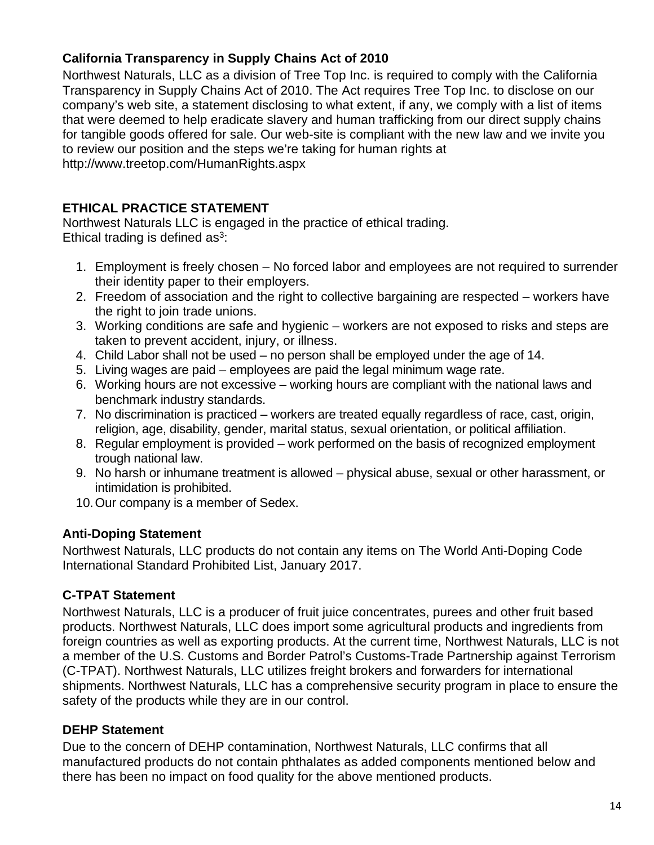### <span id="page-13-0"></span>**California Transparency in Supply Chains Act of 2010**

Northwest Naturals, LLC as a division of Tree Top Inc. is required to comply with the California Transparency in Supply Chains Act of 2010. The Act requires Tree Top Inc. to disclose on our company's web site, a statement disclosing to what extent, if any, we comply with a list of items that were deemed to help eradicate slavery and human trafficking from our direct supply chains for tangible goods offered for sale. Our web-site is compliant with the new law and we invite you to review our position and the steps we're taking for human rights at <http://www.treetop.com/HumanRights.aspx>

#### <span id="page-13-1"></span>**ETHICAL PRACTICE STATEMENT**

Northwest Naturals LLC is engaged in the practice of ethical trading. Ethical trading is defined  $as^3$ :

- 1. Employment is freely chosen No forced labor and employees are not required to surrender their identity paper to their employers.
- 2. Freedom of association and the right to collective bargaining are respected workers have the right to join trade unions.
- 3. Working conditions are safe and hygienic workers are not exposed to risks and steps are taken to prevent accident, injury, or illness.
- 4. Child Labor shall not be used no person shall be employed under the age of 14.
- 5. Living wages are paid employees are paid the legal minimum wage rate.
- 6. Working hours are not excessive working hours are compliant with the national laws and benchmark industry standards.
- 7. No discrimination is practiced workers are treated equally regardless of race, cast, origin, religion, age, disability, gender, marital status, sexual orientation, or political affiliation.
- 8. Regular employment is provided work performed on the basis of recognized employment trough national law.
- 9. No harsh or inhumane treatment is allowed physical abuse, sexual or other harassment, or intimidation is prohibited.
- 10. Our company is a member of Sedex.

### <span id="page-13-2"></span>**Anti-Doping Statement**

Northwest Naturals, LLC products do not contain any items on The World Anti-Doping Code International Standard Prohibited List, January 2017.

### <span id="page-13-3"></span>**C-TPAT Statement**

Northwest Naturals, LLC is a producer of fruit juice concentrates, purees and other fruit based products. Northwest Naturals, LLC does import some agricultural products and ingredients from foreign countries as well as exporting products. At the current time, Northwest Naturals, LLC is not a member of the U.S. Customs and Border Patrol's Customs-Trade Partnership against Terrorism (C-TPAT). Northwest Naturals, LLC utilizes freight brokers and forwarders for international shipments. Northwest Naturals, LLC has a comprehensive security program in place to ensure the safety of the products while they are in our control.

### <span id="page-13-4"></span>**DEHP Statement**

Due to the concern of DEHP contamination, Northwest Naturals, LLC confirms that all manufactured products do not contain phthalates as added components mentioned below and there has been no impact on food quality for the above mentioned products.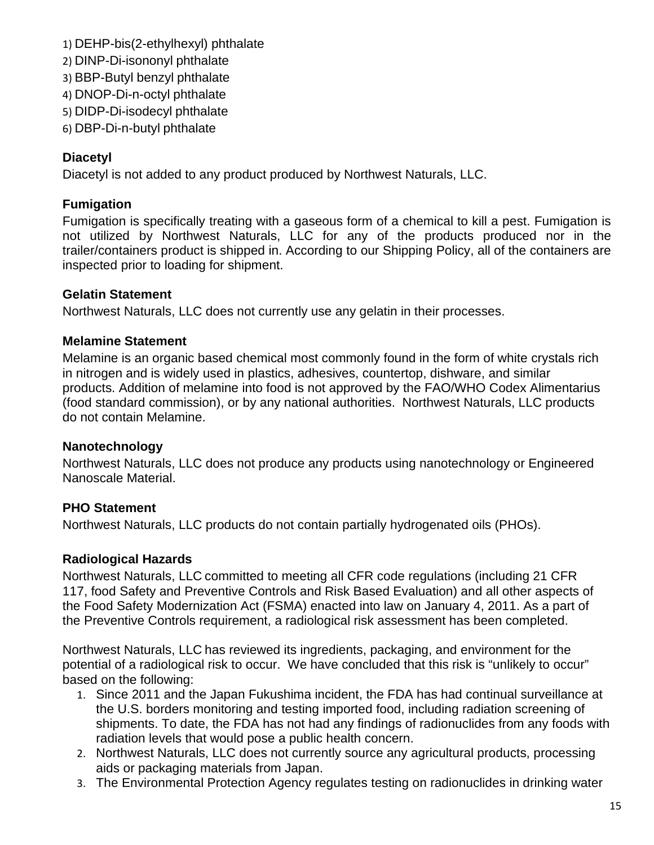- 1) DEHP-bis(2-ethylhexyl) phthalate
- 2) DINP-Di-isononyl phthalate
- 3) BBP-Butyl benzyl phthalate
- 4) DNOP-Di-n-octyl phthalate
- 5) DIDP-Di-isodecyl phthalate
- 6) DBP-Di-n-butyl phthalate

### <span id="page-14-0"></span>**Diacetyl**

Diacetyl is not added to any product produced by Northwest Naturals, LLC.

#### <span id="page-14-1"></span>**Fumigation**

Fumigation is specifically treating with a gaseous form of a chemical to kill a pest. Fumigation is not utilized by Northwest Naturals, LLC for any of the products produced nor in the trailer/containers product is shipped in. According to our Shipping Policy, all of the containers are inspected prior to loading for shipment.

#### <span id="page-14-2"></span>**Gelatin Statement**

Northwest Naturals, LLC does not currently use any gelatin in their processes.

#### <span id="page-14-3"></span>**Melamine Statement**

Melamine is an organic based chemical most commonly found in the form of white crystals rich in nitrogen and is widely used in plastics, adhesives, countertop, dishware, and similar products. Addition of melamine into food is not approved by the FAO/WHO Codex Alimentarius (food standard commission), or by any national authorities. Northwest Naturals, LLC products do not contain Melamine.

#### <span id="page-14-4"></span>**Nanotechnology**

Northwest Naturals, LLC does not produce any products using nanotechnology or Engineered Nanoscale Material.

### <span id="page-14-5"></span>**PHO Statement**

Northwest Naturals, LLC products do not contain partially hydrogenated oils (PHOs).

### <span id="page-14-6"></span>**Radiological Hazards**

Northwest Naturals, LLC committed to meeting all CFR code regulations (including 21 CFR 117, food Safety and Preventive Controls and Risk Based Evaluation) and all other aspects of the Food Safety Modernization Act (FSMA) enacted into law on January 4, 2011. As a part of the Preventive Controls requirement, a radiological risk assessment has been completed.

Northwest Naturals, LLC has reviewed its ingredients, packaging, and environment for the potential of a radiological risk to occur. We have concluded that this risk is "unlikely to occur" based on the following:

- 1. Since 2011 and the Japan Fukushima incident, the FDA has had continual surveillance at the U.S. borders monitoring and testing imported food, including radiation screening of shipments. To date, the FDA has not had any findings of radionuclides from any foods with radiation levels that would pose a public health concern.
- 2. Northwest Naturals, LLC does not currently source any agricultural products, processing aids or packaging materials from Japan.
- 3. The Environmental Protection Agency regulates testing on radionuclides in drinking water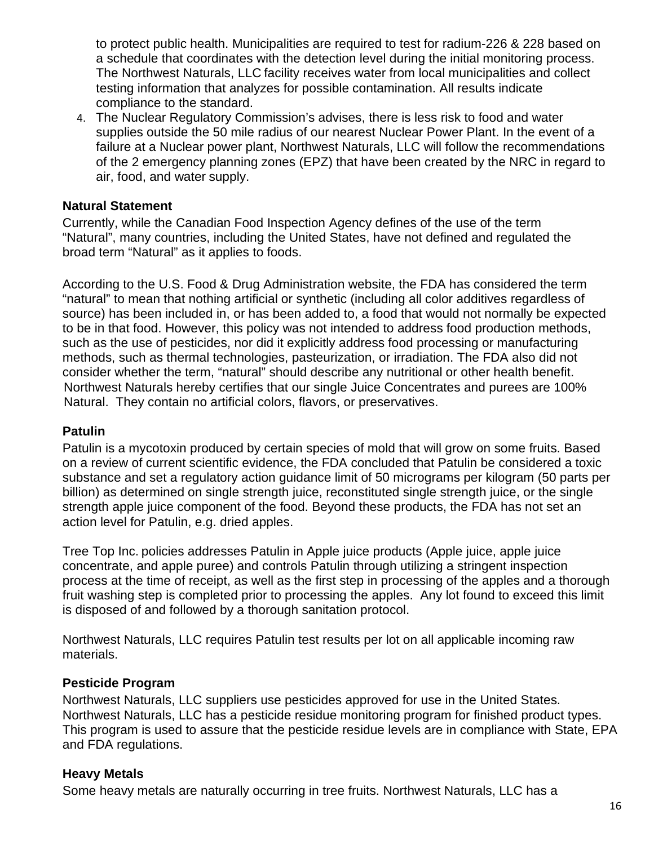to protect public health. Municipalities are required to test for radium-226 & 228 based on a schedule that coordinates with the detection level during the initial monitoring process. The Northwest Naturals, LLC facility receives water from local municipalities and collect testing information that analyzes for possible contamination. All results indicate compliance to the standard.

4. The Nuclear Regulatory Commission's advises, there is less risk to food and water supplies outside the 50 mile radius of our nearest Nuclear Power Plant. In the event of a failure at a Nuclear power plant, Northwest Naturals, LLC will follow the recommendations of the 2 emergency planning zones (EPZ) that have been created by the NRC in regard to air, food, and water supply.

#### <span id="page-15-0"></span>**Natural Statement**

Currently, while the Canadian Food Inspection Agency defines of the use of the term "Natural", many countries, including the United States, have not defined and regulated the broad term "Natural" as it applies to foods.

According to the U.S. Food & Drug Administration website, the FDA has considered the term "natural" to mean that nothing artificial or synthetic (including all color additives regardless of source) has been included in, or has been added to, a food that would not normally be expected to be in that food. However, this policy was not intended to address food production methods, such as the use of pesticides, nor did it explicitly address food processing or manufacturing methods, such as thermal technologies, pasteurization, or irradiation. The FDA also did not consider whether the term, "natural" should describe any nutritional or other health benefit. Northwest Naturals hereby certifies that our single Juice Concentrates and purees are 100% Natural. They contain no artificial colors, flavors, or preservatives.

#### <span id="page-15-1"></span>**Patulin**

Patulin is a mycotoxin produced by certain species of mold that will grow on some fruits. Based on a review of current scientific evidence, the FDA concluded that Patulin be considered a toxic substance and set a regulatory action guidance limit of 50 micrograms per kilogram (50 parts per billion) as determined on single strength juice, reconstituted single strength juice, or the single strength apple juice component of the food. Beyond these products, the FDA has not set an action level for Patulin, e.g. dried apples.

Tree Top Inc. policies addresses Patulin in Apple juice products (Apple juice, apple juice concentrate, and apple puree) and controls Patulin through utilizing a stringent inspection process at the time of receipt, as well as the first step in processing of the apples and a thorough fruit washing step is completed prior to processing the apples. Any lot found to exceed this limit is disposed of and followed by a thorough sanitation protocol.

Northwest Naturals, LLC requires Patulin test results per lot on all applicable incoming raw materials.

#### <span id="page-15-2"></span>**Pesticide Program**

Northwest Naturals, LLC suppliers use pesticides approved for use in the United States. Northwest Naturals, LLC has a pesticide residue monitoring program for finished product types. This program is used to assure that the pesticide residue levels are in compliance with State, EPA and FDA regulations.

#### <span id="page-15-3"></span>**Heavy Metals**

Some heavy metals are naturally occurring in tree fruits. Northwest Naturals, LLC has a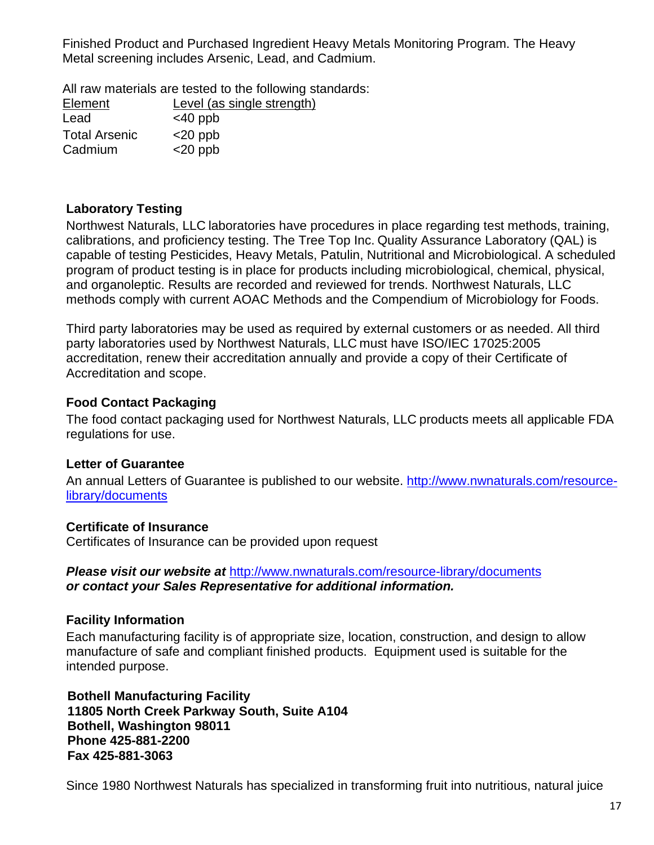Finished Product and Purchased Ingredient Heavy Metals Monitoring Program. The Heavy Metal screening includes Arsenic, Lead, and Cadmium.

All raw materials are tested to the following standards:

| Element              | Level (as single strength) |
|----------------------|----------------------------|
| Lead                 | $<$ 40 ppb                 |
| <b>Total Arsenic</b> | $<$ 20 ppb                 |
| Cadmium              | $<$ 20 ppb                 |

### <span id="page-16-0"></span>**Laboratory Testing**

Northwest Naturals, LLC laboratories have procedures in place regarding test methods, training, calibrations, and proficiency testing. The Tree Top Inc. Quality Assurance Laboratory (QAL) is capable of testing Pesticides, Heavy Metals, Patulin, Nutritional and Microbiological. A scheduled program of product testing is in place for products including microbiological, chemical, physical, and organoleptic. Results are recorded and reviewed for trends. Northwest Naturals, LLC methods comply with current AOAC Methods and the Compendium of Microbiology for Foods.

Third party laboratories may be used as required by external customers or as needed. All third party laboratories used by Northwest Naturals, LLC must have ISO/IEC 17025:2005 accreditation, renew their accreditation annually and provide a copy of their Certificate of Accreditation and scope.

#### <span id="page-16-1"></span>**Food Contact Packaging**

The food contact packaging used for Northwest Naturals, LLC products meets all applicable FDA regulations for use.

### <span id="page-16-2"></span>**Letter of Guarantee**

An annual Letters of Guarantee is published to our website. [http://www.nwnaturals.com/resource](http://www.nwnaturals.com/resource-library/documents)[library/documents](http://www.nwnaturals.com/resource-library/documents) 

#### <span id="page-16-3"></span>**Certificate of Insurance**

Certificates of Insurance can be provided upon request

*Please visit our website at* <http://www.nwnaturals.com/resource-library/documents> *or contact your Sales Representative for additional information.* 

#### <span id="page-16-4"></span>**Facility Information**

Each manufacturing facility is of appropriate size, location, construction, and design to allow manufacture of safe and compliant finished products. Equipment used is suitable for the intended purpose.

 **Bothell Manufacturing Facility 11805 North Creek Parkway South, Suite A104 Bothell, Washington 98011 Phone 425-881-2200 Fax 425-881-3063** 

Since 1980 Northwest Naturals has specialized in transforming fruit into nutritious, natural juice